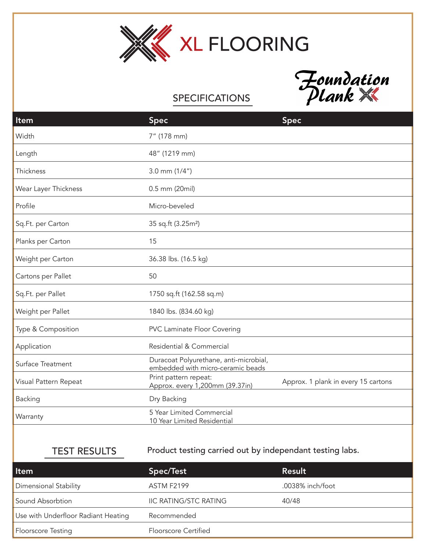



## **SPECIFICATIONS**

| Item                  | <b>Spec</b>                                                                 | <b>Spec</b>                         |
|-----------------------|-----------------------------------------------------------------------------|-------------------------------------|
| Width                 | 7" (178 mm)                                                                 |                                     |
| Length                | 48" (1219 mm)                                                               |                                     |
| Thickness             | $3.0$ mm $(1/4")$                                                           |                                     |
| Wear Layer Thickness  | 0.5 mm (20mil)                                                              |                                     |
| Profile               | Micro-beveled                                                               |                                     |
| Sq.Ft. per Carton     | 35 sq.ft (3.25m <sup>2</sup> )                                              |                                     |
| Planks per Carton     | 15                                                                          |                                     |
| Weight per Carton     | 36.38 lbs. (16.5 kg)                                                        |                                     |
| Cartons per Pallet    | 50                                                                          |                                     |
| Sq.Ft. per Pallet     | 1750 sq.ft (162.58 sq.m)                                                    |                                     |
| Weight per Pallet     | 1840 lbs. (834.60 kg)                                                       |                                     |
| Type & Composition    | <b>PVC Laminate Floor Covering</b>                                          |                                     |
| Application           | Residential & Commercial                                                    |                                     |
| Surface Treatment     | Duracoat Polyurethane, anti-microbial,<br>embedded with micro-ceramic beads |                                     |
| Visual Pattern Repeat | Print pattern repeat:<br>Approx. every 1,200mm (39.37in)                    | Approx. 1 plank in every 15 cartons |
| Backing               | Dry Backing                                                                 |                                     |
| Warranty              | 5 Year Limited Commercial<br>10 Year Limited Residential                    |                                     |

TEST RESULTS Product testing carried out by independant testing labs.

| Item                                | Spec/Test                    | Result           |
|-------------------------------------|------------------------------|------------------|
| Dimensional Stability               | <b>ASTM F2199</b>            | .0038% inch/foot |
| Sound Absorbtion                    | <b>IIC RATING/STC RATING</b> | 40/48            |
| Use with Underfloor Radiant Heating | Recommended                  |                  |
| <b>Floorscore Testing</b>           | Floorscore Certified         |                  |